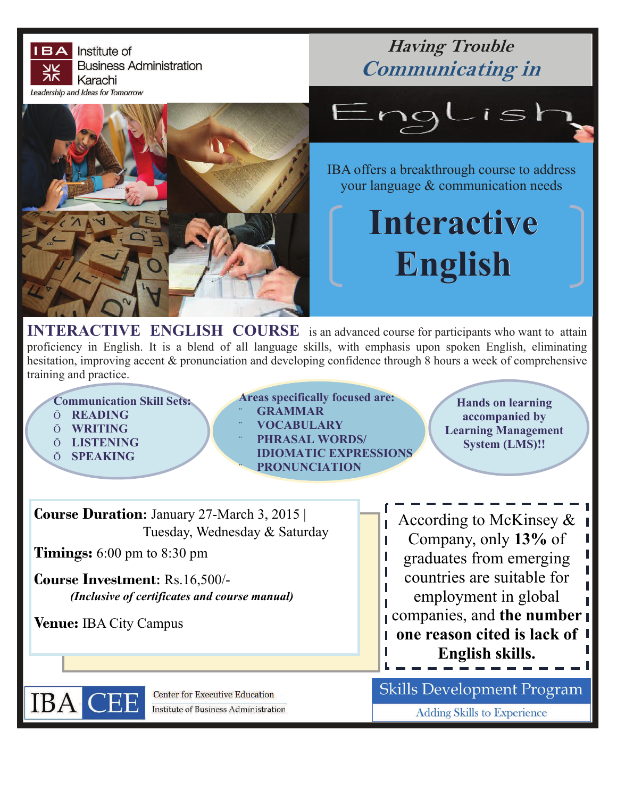

**IERACTIVE ENGLISH COURSE** is an advanced course for participants who want to attain proficiency in English. It is a blend of all language skills, with emphasis upon spoken English, eliminating hesitation, improving accent & pronunciation and developing confidence through 8 hours a week of comprehensive training and practice.

**Communication Skill Sets:** 

- Ö **READING**
- Ö **WRITING**
- Ö **LISTENING**
- Ö **SPEAKING**

**IBA** 

**Areas specifically focused are:**  ¨ **GRAMMAR**  ¨ **VOCABULARY**  ¨ **PHRASAL WORDS/ IDIOMATIC EXPRESSIONS** 

¨ **PRONUNCIATION** 

**Hands on learning accompanied by Learning Management System (LMS)!!** 

| <b>Course Duration:</b> January 27-March 3, 2015 | According to McKinsey $\&$    |
|--------------------------------------------------|-------------------------------|
| Tuesday, Wednesday & Saturday                    | Company, only 13% of          |
| <b>Timings:</b> 6:00 pm to 8:30 pm               | graduates from emerging       |
| <b>Course Investment: Rs.16,500/-</b>            | countries are suitable for    |
| (Inclusive of certificates and course manual)    | employment in global          |
| <b>Venue:</b> IBA City Campus                    | companies, and the number     |
|                                                  | I one reason cited is lack of |
|                                                  | English skills.               |
|                                                  |                               |

**Skills Development Program** 

**Adding Skills to Experience** 

**Center for Executive Education Institute of Business Administration**